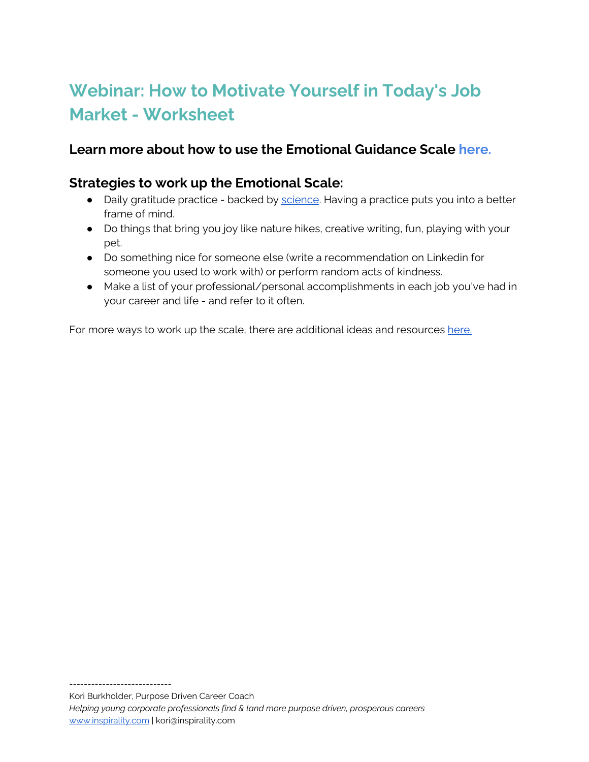# **Webinar: How to Motivate Yourself in Today's Job Market - Worksheet**

### **Learn more about how to use the Emotional Guidance Scale [here.](https://gabbybernstein.com/emotional-guidance-scale-abraham-hicks/)**

### **Strategies to work up the Emotional Scale:**

- Daily gratitude practice backed by [science.](https://ggsc.berkeley.edu/images/uploads/GGSC-JTF_White_Paper-Gratitude-FINAL.pdf?_ga=2.68726230.654403560.1598453405-1947026064.1598453405) Having a practice puts you into a better frame of mind.
- Do things that bring you joy like nature hikes, creative writing, fun, playing with your pet.
- Do something nice for someone else (write a recommendation on Linkedin for someone you used to work with) or perform random acts of kindness.
- Make a list of your professional/personal accomplishments in each job you've had in your career and life - and refer to it often.

For more ways to work up the scale, there are additional ideas and resources [here.](https://thecoloroftime.wordpress.com/tag/wouldnt-it-be-nice-if/#:~:text=The%20Wouldn)

----------------------------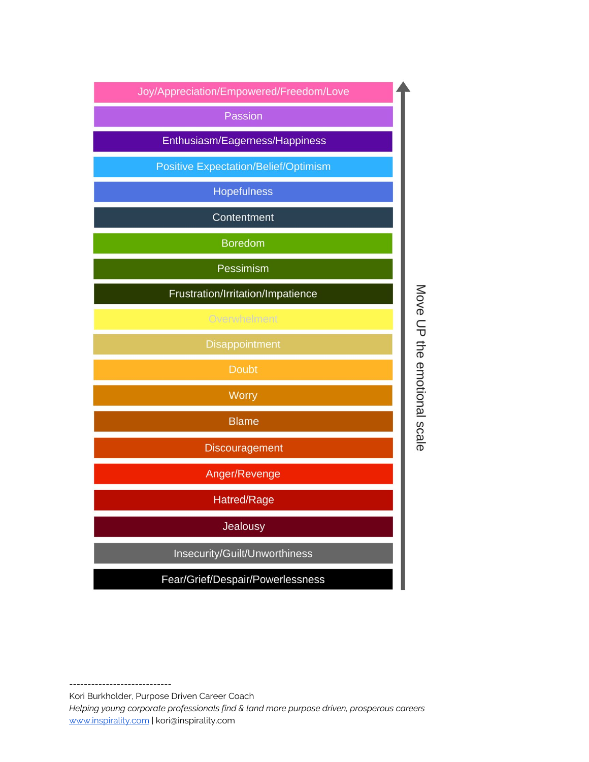

---------------------------- Kori Burkholder, Purpose Driven Career Coach *Helping young corporate professionals find & land more purpose driven, prosperous careers*

[www.inspirality.com](http://www.koriburkholder.com/) | kori@inspirality.com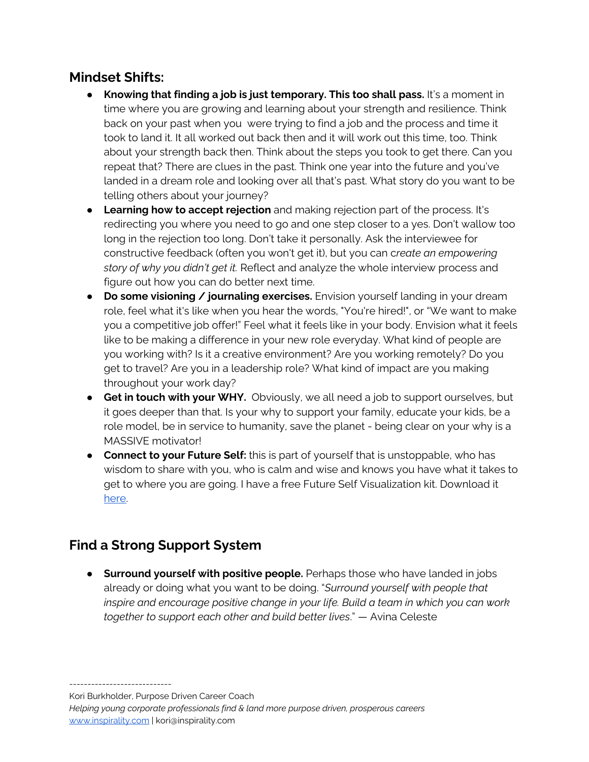### **Mindset Shifts:**

- **Knowing that finding a job is just temporary. This too shall pass.** It's a moment in time where you are growing and learning about your strength and resilience. Think back on your past when you were trying to find a job and the process and time it took to land it. It all worked out back then and it will work out this time, too. Think about your strength back then. Think about the steps you took to get there. Can you repeat that? There are clues in the past. Think one year into the future and you've landed in a dream role and looking over all that's past. What story do you want to be telling others about your journey?
- **Learning how to accept rejection** and making rejection part of the process. It's redirecting you where you need to go and one step closer to a yes. Don't wallow too long in the rejection too long. Don't take it personally. Ask the interviewee for constructive feedback (often you won't get it), but you can c*reate an empowering story of why you didn't get it.* Reflect and analyze the whole interview process and figure out how you can do better next time.
- **Do some visioning / journaling exercises.** Envision yourself landing in your dream role, feel what it's like when you hear the words, "You're hired!", or "We want to make you a competitive job offer!" Feel what it feels like in your body. Envision what it feels like to be making a difference in your new role everyday. What kind of people are you working with? Is it a creative environment? Are you working remotely? Do you get to travel? Are you in a leadership role? What kind of impact are you making throughout your work day?
- **Get in touch with your WHY.** Obviously, we all need a job to support ourselves, but it goes deeper than that. Is your why to support your family, educate your kids, be a role model, be in service to humanity, save the planet - being clear on your why is a MASSIVE motivator!
- **Connect to your Future Self:** this is part of yourself that is unstoppable, who has wisdom to share with you, who is calm and wise and knows you have what it takes to get to where you are going. I have a free Future Self Visualization kit. Download it [here](https://koriburkholder.com/welcome-to-the-future-self-visualization-fun-kit/).

# **Find a Strong Support System**

● **Surround yourself with positive people.** Perhaps those who have landed in jobs already or doing what you want to be doing. "*Surround yourself with people that inspire and encourage positive change in your life. Build a team in which you can work together to support each other and build better lives*." ― Avina Celeste

Kori Burkholder, Purpose Driven Career Coach

----------------------------

*Helping young corporate professionals find & land more purpose driven, prosperous careers* [www.inspirality.com](http://www.koriburkholder.com/) | kori@inspirality.com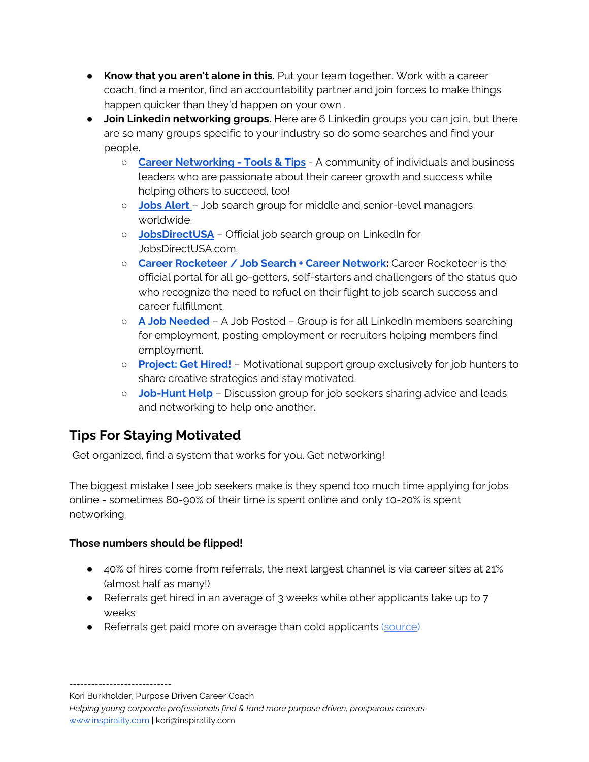- **Know that you aren't alone in this.** Put your team together. Work with a career coach, find a mentor, find an accountability partner and join forces to make things happen quicker than they'd happen on your own .
- **Join Linkedin networking groups.** Here are 6 Linkedin groups you can join, but there are so many groups specific to your industry so do some searches and find your people.
	- **○ Career [Networking](https://www.linkedin.com/groups/12180928/) - Tools & Tips** A community of individuals and business leaders who are passionate about their career growth and success while helping others to succeed, too!
	- **Jobs [Alert](https://www.linkedin.com/groups/1931300/)** [–](https://www.linkedin.com/groups/1931300/) Job search group for middle and senior-level managers worldwide.
	- **[JobsDirectUSA](https://www.linkedin.com/groups/1880575/)** Official job search group on LinkedIn for JobsDirectUSA.com.
	- **Career [Rocketeer](https://www.linkedin.com/groups/983057/) / Job Search + Career Network:** Career Rocketeer is the official portal for all go-getters, self-starters and challengers of the status quo who recognize the need to refuel on their flight to job search success and career fulfillment.
	- **A Job [Needed](https://www.linkedin.com/groups/1727767/)** A Job Posted Group is for all LinkedIn members searching for employment, posting employment or recruiters helping members find employment.
	- **[Project:](https://www.linkedin.com/groups/1816556/) Get Hired!** [–](https://www.linkedin.com/groups/1816556/) Motivational support group exclusively for job hunters to share creative strategies and stay motivated.
	- **[Job-Hunt](https://www.linkedin.com/groups/1713867/) Help** Discussion group for job seekers sharing advice and leads and networking to help one another.

# **Tips For Staying Motivated**

Get organized, find a system that works for you. Get networking!

The biggest mistake I see job seekers make is they spend too much time applying for jobs online - sometimes 80-90% of their time is spent online and only 10-20% is spent networking.

#### **Those numbers should be flipped!**

- 40% of hires come from referrals, the next largest channel is via career sites at 21% (almost half as many!)
- Referrals get hired in an average of 3 weeks while other applicants take up to 7 weeks
- Referrals get paid more on average than cold applicants ([source](https://cultivatedculture.com/how-to-get-a-job-anywhere-no-connections/))

Kori Burkholder, Purpose Driven Career Coach

----------------------------

*Helping young corporate professionals find & land more purpose driven, prosperous careers* [www.inspirality.com](http://www.koriburkholder.com/) | kori@inspirality.com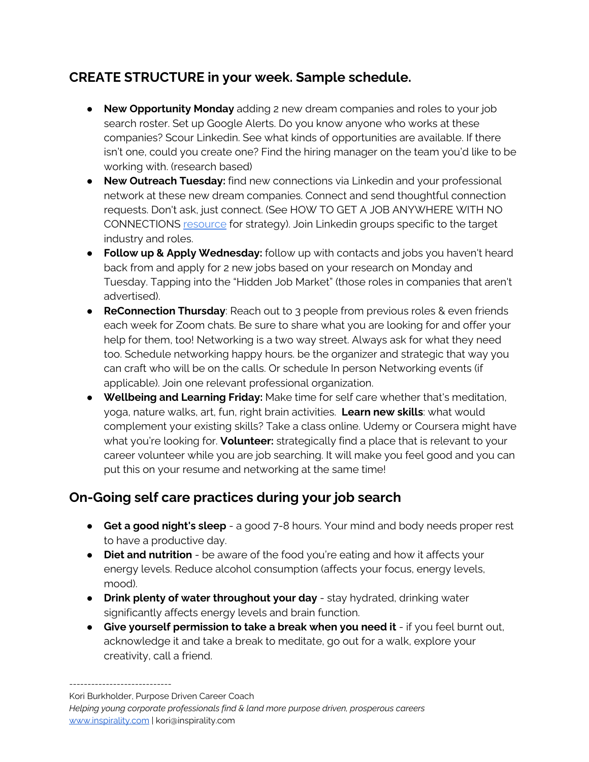# **CREATE STRUCTURE in your week. Sample schedule.**

- **New Opportunity Monday** adding 2 new dream companies and roles to your job search roster. Set up Google Alerts. Do you know anyone who works at these companies? Scour Linkedin. See what kinds of opportunities are available. If there isn't one, could you create one? Find the hiring manager on the team you'd like to be working with. (research based)
- **New Outreach Tuesday:** find new connections via Linkedin and your professional network at these new dream companies. Connect and send thoughtful connection requests. Don't ask, just connect. (See HOW TO GET A JOB ANYWHERE WITH NO CONNECTIONS [resource](https://cultivatedculture.com/how-to-get-a-job-anywhere-no-connections/) for strategy). Join Linkedin groups specific to the target industry and roles.
- **Follow up & Apply Wednesday:** follow up with contacts and jobs you haven't heard back from and apply for 2 new jobs based on your research on Monday and Tuesday. Tapping into the "Hidden Job Market" (those roles in companies that aren't advertised).
- **ReConnection Thursday**: Reach out to 3 people from previous roles & even friends each week for Zoom chats. Be sure to share what you are looking for and offer your help for them, too! Networking is a two way street. Always ask for what they need too. Schedule networking happy hours. be the organizer and strategic that way you can craft who will be on the calls. Or schedule In person Networking events (if applicable). Join one relevant professional organization.
- **Wellbeing and Learning Friday:** Make time for self care whether that's meditation, yoga, nature walks, art, fun, right brain activities. **Learn new skills**: what would complement your existing skills? Take a class online. Udemy or Coursera might have what you're looking for. **Volunteer:** strategically find a place that is relevant to your career volunteer while you are job searching. It will make you feel good and you can put this on your resume and networking at the same time!

# **On-Going self care practices during your job search**

- **Get a good night's sleep** a good 7-8 hours. Your mind and body needs proper rest to have a productive day.
- **Diet and nutrition** be aware of the food you're eating and how it affects your energy levels. Reduce alcohol consumption (affects your focus, energy levels, mood).
- **Drink plenty of water throughout your day** stay hydrated, drinking water significantly affects energy levels and brain function.
- **Give yourself permission to take a break when you need it** if you feel burnt out, acknowledge it and take a break to meditate, go out for a walk, explore your creativity, call a friend.

----------------------------

Kori Burkholder, Purpose Driven Career Coach

*Helping young corporate professionals find & land more purpose driven, prosperous careers* [www.inspirality.com](http://www.koriburkholder.com/) | kori@inspirality.com